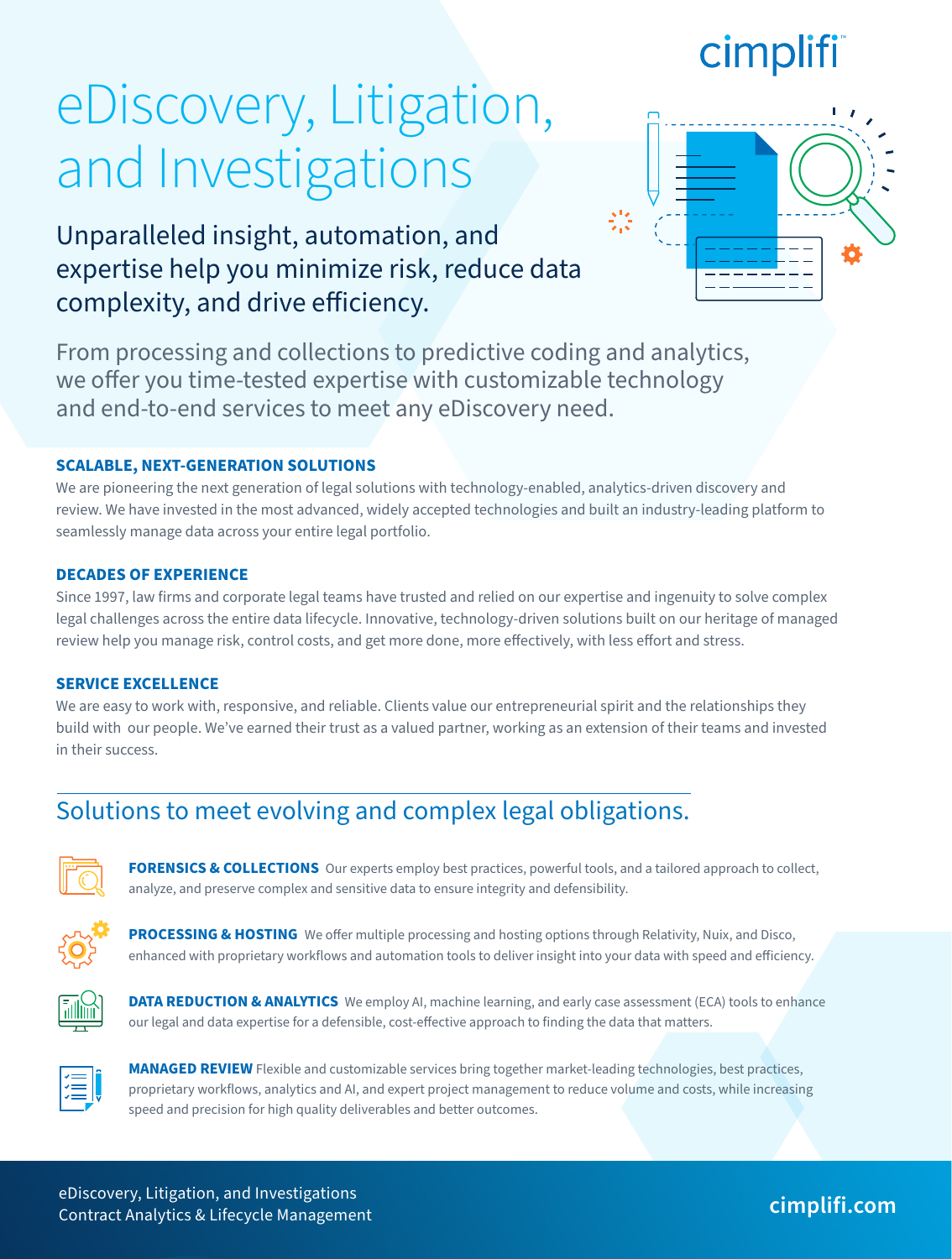## cimpli

# eDiscovery, Litigation, and Investigations

Unparalleled insight, automation, and expertise help you minimize risk, reduce data complexity, and drive efficiency.

From processing and collections to predictive coding and analytics, we offer you time-tested expertise with customizable technology and end-to-end services to meet any eDiscovery need.

### **SCALABLE, NEXT-GENERATION SOLUTIONS**

We are pioneering the next generation of legal solutions with technology-enabled, analytics-driven discovery and review. We have invested in the most advanced, widely accepted technologies and built an industry-leading platform to seamlessly manage data across your entire legal portfolio.

### **DECADES OF EXPERIENCE**

Since 1997, law firms and corporate legal teams have trusted and relied on our expertise and ingenuity to solve complex legal challenges across the entire data lifecycle. Innovative, technology-driven solutions built on our heritage of managed review help you manage risk, control costs, and get more done, more effectively, with less effort and stress.

### **SERVICE EXCELLENCE**

We are easy to work with, responsive, and reliable. Clients value our entrepreneurial spirit and the relationships they build with our people. We've earned their trust as a valued partner, working as an extension of their teams and invested in their success.

### Solutions to meet evolving and complex legal obligations.



**FORENSICS & COLLECTIONS** Our experts employ best practices, powerful tools, and a tailored approach to collect, analyze, and preserve complex and sensitive data to ensure integrity and defensibility.



**PROCESSING & HOSTING** We offer multiple processing and hosting options through Relativity, Nuix, and Disco, enhanced with proprietary workflows and automation tools to deliver insight into your data with speed and efficiency.



**DATA REDUCTION & ANALYTICS** We employ AI, machine learning, and early case assessment (ECA) tools to enhance our legal and data expertise for a defensible, cost-effective approach to finding the data that matters.



**MANAGED REVIEW** Flexible and customizable services bring together market-leading technologies, best practices, proprietary workflows, analytics and AI, and expert project management to reduce volume and costs, while increasing speed and precision for high quality deliverables and better outcomes.